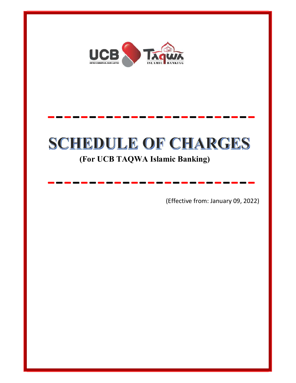

# SCHEDULE OF CHARGES

-------------------------

-------------------------

### (For UCB TAQWA Islamic Banking)

(Effective from: January 09, 2022)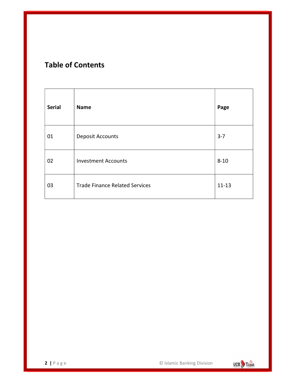### Table of Contents

| <b>Serial</b> | <b>Name</b>                           | Page      |
|---------------|---------------------------------------|-----------|
| 01            | <b>Deposit Accounts</b>               | $3 - 7$   |
| 02            | <b>Investment Accounts</b>            | $8 - 10$  |
| 03            | <b>Trade Finance Related Services</b> | $11 - 13$ |

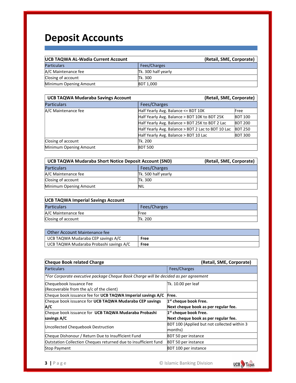# Deposit Accounts

| <b>UCB TAQWA AL-Wadia Current Account</b> | (Retail, SME, Corporate) |
|-------------------------------------------|--------------------------|
| <b>Particulars</b>                        | Fees/Charges             |
| A/C Maintenance fee                       | Tk. 300 half yearly      |
| Closing of account                        | Tk. 300                  |
| Minimum Opening Amount                    | <b>BDT 1,000</b>         |

| <b>UCB TAQWA Mudaraba Savings Account</b> | (Retail, SME, Corporate)                           |                |
|-------------------------------------------|----------------------------------------------------|----------------|
| <b>Particulars</b>                        | Fees/Charges                                       |                |
| A/C Maintenance fee                       | Half Yearly Avg. Balance <= BDT 10K                | Free           |
|                                           | Half Yearly Avg. Balance > BDT 10K to BDT 25K      | <b>BDT 100</b> |
|                                           | Half Yearly Avg. Balance > BDT 25K to BDT 2 Lac    | <b>BDT 200</b> |
|                                           | Half Yearly Avg. Balance > BDT 2 Lac to BDT 10 Lac | <b>BDT 250</b> |
|                                           | Half Yearly Avg. Balance > BDT 10 Lac              | <b>BDT 300</b> |
| Closing of account                        | lTk. 200                                           |                |
| Minimum Opening Amount                    | <b>BDT 500</b>                                     |                |

| <b>UCB TAQWA Mudaraba Short Notice Deposit Account (SND)</b> |                     | (Retail, SME, Corporate) |
|--------------------------------------------------------------|---------------------|--------------------------|
| <b>Particulars</b>                                           | Fees/Charges        |                          |
| A/C Maintenance fee                                          | Tk. 500 half yearly |                          |
| Closing of account                                           | <b>Tk. 300</b>      |                          |
| Minimum Opening Amount                                       | <b>NIL</b>          |                          |

| <b>UCB TAQWA Imperial Savings Account</b> |         |  |
|-------------------------------------------|---------|--|
| Fees/Charges<br><b>Particulars</b>        |         |  |
| A/C Maintenance fee                       | Free    |  |
| Closing of account                        | Tk. 200 |  |

| Other Account Maintenance fee           |      |
|-----------------------------------------|------|
| UCB TAQWA Mudaraba CEP savings A/C      | Free |
| UCB TAQWA Mudaraba Probashi savings A/C | Free |

| <b>Cheque Book related Charge</b>                                                    | (Retail, SME, Corporate)                    |
|--------------------------------------------------------------------------------------|---------------------------------------------|
| <b>Particulars</b>                                                                   | Fees/Charges                                |
| *For Corporate executive package Cheque Book Charge will be decided as per agreement |                                             |
| Chequebook Issuance Fee                                                              | Tk. 10.00 per leaf                          |
| (Recoverable from the a/c of the client)                                             |                                             |
| Cheque book issuance fee for UCB TAQWA Imperial savings A/C                          | Free.                                       |
| Cheque book issuance for UCB TAQWA Mudaraba CEP savings                              | $1st$ cheque book Free.                     |
| A/C                                                                                  | Next cheque book as per regular fee.        |
| Cheque book issuance for UCB TAQWA Mudaraba Probashi                                 | $1st$ cheque book Free.                     |
| savings A/C                                                                          | Next cheque book as per regular fee.        |
| Uncollected Chequebook Destruction                                                   | BDT 100 (Applied but not collected within 3 |
|                                                                                      | months)                                     |
| Cheque Dishonour / Return Due to Insufficient Fund                                   | <b>BDT 50 per instance</b>                  |
| Outstation Collection Cheques returned due to insufficient fund                      | <b>BDT 50 per instance</b>                  |
| <b>Stop Payment</b>                                                                  | BDT 100 per instance                        |

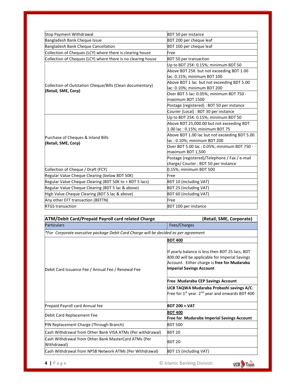| <b>BDT 50 per instance</b><br>BDT 200 per cheque leaf<br>BDT 100 per cheque leaf<br>Free<br><b>BDT 50 per transaction</b><br>Up to BDT 25K: 0.15%; minimum BDT 50<br>Above BDT 25K but not exceeding BDT 1.00<br>lac: 0.15%; minimum BDT 100<br>Above BDT 1 lac but not exceeding BDT 5.00 |
|--------------------------------------------------------------------------------------------------------------------------------------------------------------------------------------------------------------------------------------------------------------------------------------------|
|                                                                                                                                                                                                                                                                                            |
|                                                                                                                                                                                                                                                                                            |
|                                                                                                                                                                                                                                                                                            |
|                                                                                                                                                                                                                                                                                            |
|                                                                                                                                                                                                                                                                                            |
|                                                                                                                                                                                                                                                                                            |
|                                                                                                                                                                                                                                                                                            |
|                                                                                                                                                                                                                                                                                            |
|                                                                                                                                                                                                                                                                                            |
| lac: 0.10%; minimum BDT 200                                                                                                                                                                                                                                                                |
| Over BDT 5 lac: 0.05%; minimum BDT 750 -                                                                                                                                                                                                                                                   |
| maximum BDT 1500                                                                                                                                                                                                                                                                           |
| Postage (registered) : BDT 50 per instance                                                                                                                                                                                                                                                 |
| Courier (Local) : BDT 30 per instance                                                                                                                                                                                                                                                      |
| Up to BDT 25K: 0.15%; minimum BDT 50                                                                                                                                                                                                                                                       |
| Above BDT 25,000.00 but not exceeding BDT                                                                                                                                                                                                                                                  |
| 1.00 lac: 0.15%; minimum BDT 75                                                                                                                                                                                                                                                            |
| Above BDT 1.00 lac but not exceeding BDT 5.00                                                                                                                                                                                                                                              |
| lac: 0.10%; minimum BDT 200                                                                                                                                                                                                                                                                |
| Over BDT 5.00 lac: 0.05%; minimum BDT 750 -                                                                                                                                                                                                                                                |
| maximum BDT 1,500                                                                                                                                                                                                                                                                          |
| Postage (registered)/Telephone / Fax / e-mail                                                                                                                                                                                                                                              |
| charge/ Courier : BDT 50 per instance                                                                                                                                                                                                                                                      |
| 0.15%; minimum BDT 500                                                                                                                                                                                                                                                                     |
| Free                                                                                                                                                                                                                                                                                       |
| <b>BDT 10 (including VAT)</b>                                                                                                                                                                                                                                                              |
| <b>BDT 25 (including VAT)</b>                                                                                                                                                                                                                                                              |
| BDT 60 (including VAT)                                                                                                                                                                                                                                                                     |
| Free                                                                                                                                                                                                                                                                                       |
| <b>BDT 100 per instance</b>                                                                                                                                                                                                                                                                |
|                                                                                                                                                                                                                                                                                            |

| <b>ATM/Debit Card/Prepaid Payroll card related Charge</b>                           | (Retail, SME, Corporate)                                                                                                                                                                                                                                                                                                                 |
|-------------------------------------------------------------------------------------|------------------------------------------------------------------------------------------------------------------------------------------------------------------------------------------------------------------------------------------------------------------------------------------------------------------------------------------|
| <b>Particulars</b>                                                                  | Fees/Charges                                                                                                                                                                                                                                                                                                                             |
| *For Corporate executive package Debit Card Charge will be decided as per agreement |                                                                                                                                                                                                                                                                                                                                          |
|                                                                                     | <b>BDT 400</b>                                                                                                                                                                                                                                                                                                                           |
| Debit Card Issuance Fee / Annual Fee / Renewal Fee                                  | If yearly balance is less then BDT 25 lacs, BDT<br>400.00 will be applicable for Imperial Savings<br>Account. Either charge is free for Mudaraba<br><b>Imperial Savings Account</b><br><b>Free Mudaraba CEP Savings Account</b><br>UCB TAQWA Mudaraba Probashi savings A/C:<br>Free for $1^{st}$ year. $2^{nd}$ year and onwards BDT 400 |
| Prepaid Payroll card Annual fee                                                     | $BDT 200 + VAT$                                                                                                                                                                                                                                                                                                                          |
| Debit Card Replacement Fee                                                          | <b>BDT 400</b><br><b>Free for Mudaraba Imperial Savings Account</b>                                                                                                                                                                                                                                                                      |
| PIN Replacement Charge (Through Branch)                                             | <b>BDT 500</b>                                                                                                                                                                                                                                                                                                                           |
| Cash Withdrawal from Other Bank VISA ATMs (Per withdrawal)                          | BDT <sub>20</sub>                                                                                                                                                                                                                                                                                                                        |
| Cash Withdrawal from Other Bank MasterCard ATMs (Per<br>Withdrawal)                 | BDT <sub>20</sub>                                                                                                                                                                                                                                                                                                                        |
| Cash Withdrawal from NPSB Network ATMs (Per Withdrawal)                             | <b>BDT 15 (including VAT)</b>                                                                                                                                                                                                                                                                                                            |

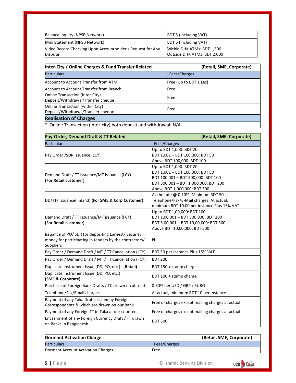| Balance Inquiry (NPSB Network)                             | <b>BDT 5 (including VAT)</b> |
|------------------------------------------------------------|------------------------------|
| Mini Statement (NPSB Network)                              | <b>BDT 5 (including VAT)</b> |
| Video Record Checking Upon Accountholder's Request for Any | Within DHK ATMs: BDT 1,500   |
| <b>Dispute</b>                                             | Outside DHK ATMs: BDT 2,000  |

| Inter-City / Online Charges & Fund Transfer Related                    | (Retail, SME, Corporate) |
|------------------------------------------------------------------------|--------------------------|
| <b>Particulars</b>                                                     | Fees/Charges             |
| Account to Account Transfer from ATM                                   | Free (Up to BDT 1 Lac)   |
| Account to Account Transfer from Branch                                | Free                     |
| Online Transaction (Inter-City)<br>Deposit/Withdrawal/Transfer cheque  | Free                     |
| Online Transaction (within City)<br>Deposit/Withdrawal/Transfer cheque | Free                     |
| <b>Realisation of Charges</b>                                          |                          |

\* Online Transaction (inter-city) both deposit and withdrawal: N/A

| Pay-Order, Demand Draft & TT Related                                          | (Retail, SME, Corporate)                         |  |
|-------------------------------------------------------------------------------|--------------------------------------------------|--|
| <b>Particulars</b>                                                            | Fees/Charges                                     |  |
|                                                                               | Up to BDT 1,000: BDT 20                          |  |
| Pay Order / SDR Issuance (LCY)                                                | BDT 1,001 - BDT 100,000: BDT 50                  |  |
|                                                                               | Above BDT 100,000: BDT 100                       |  |
|                                                                               | Up to BDT 1,000: BDT 20                          |  |
| Demand Draft / TT Issuance/MT issuance (LCY)                                  | BDT 1,001 - BDT 100,000: BDT 50                  |  |
| (For Retail customer)                                                         | BDT 100,001 - BDT 500,000: BDT 100               |  |
|                                                                               | BDT 500,001 - BDT 1,000,000: BDT 200             |  |
|                                                                               | Above BDT 1,000,000: BDT 300                     |  |
|                                                                               | At the rate @ 0.10%; Minimum BDT 50              |  |
| DD/TT/ issuance( Inland) (For SME & Corp Customer)                            | Telephone/Fax/E-Mail charges: At actual;         |  |
|                                                                               | minimum BDT 10.00 per instance Plus 15% VAT      |  |
|                                                                               | Up to BDT 1,00,000: BDT 100                      |  |
| Demand Draft / TT Issuance/MT issuance (FCY)                                  | BDT 1,00,001 - BDT 500,000: BDT 200              |  |
| (For Retail customer)                                                         | BDT 5,00,001 - BDT 10,00,000: BDT 300            |  |
|                                                                               | Above BDT 10,00,000: BDT 500                     |  |
| Issuance of PO/SDR for depositing Earnest/Security                            |                                                  |  |
| money for participating in tenders by the contractors/<br><b>Suppliers</b>    | Nil                                              |  |
| Pay Order / Demand Draft / MT / TT Cancellation (LCY)                         | BDT 50 per instance Plus 15% VAT                 |  |
| Pay Order / Demand Draft / MT / TT Cancellation (FCY)                         | <b>BDT 200</b>                                   |  |
| Duplicate Instrument Issue (DD, PO, etc.) (Retail)                            | BDT 150 + stamp charge                           |  |
| Duplicate Instrument Issue (DD, PO, etc.)<br>(SME & Corporate)                | $ BDT 100 +$ stamp charge                        |  |
| Purchase of Foreign Bank Drafts / TC drawn on abroad                          | 0.30% per USD / GBP / EURO                       |  |
| Telephone/Fax/Email charges                                                   | At actual, minimum BDT 10 per instance           |  |
| Payment of any Taka Drafts issued by Foreign                                  |                                                  |  |
| Correspondents & which are drawn on our Bank                                  | Free of charges except mailing charges at actual |  |
| Payment of any Foreign TT in Taka at our counter                              | Free of charges except mailing charges at actual |  |
| Encashment of any Foreign Currency Draft / TT drawn<br>on Banks in Bangladesh | <b>BDT 500</b>                                   |  |

| <b>Dormant Activation Charge</b>   | (Retail, SME, Corporate) |
|------------------------------------|--------------------------|
| <b>Particulars</b>                 | Fees/Charges             |
| Dormant Account Activation Charges | Free                     |

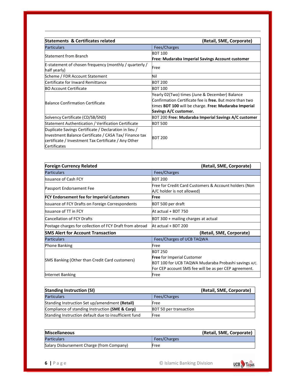| <b>Statements &amp; Certificates related</b>                                                                                                                                            | (Retail, SME, Corporate)                                                                                                                                                                    |
|-----------------------------------------------------------------------------------------------------------------------------------------------------------------------------------------|---------------------------------------------------------------------------------------------------------------------------------------------------------------------------------------------|
| <b>Particulars</b>                                                                                                                                                                      | Fees/Charges                                                                                                                                                                                |
| <b>Statement from Branch</b>                                                                                                                                                            | <b>BDT 100</b><br>Free: Mudaraba Imperial Savings Account customer                                                                                                                          |
| E-statement of chosen frequency (monthly / quarterly /<br>half yearly)                                                                                                                  | Free                                                                                                                                                                                        |
| Scheme / FDR Account Statement                                                                                                                                                          | Nil                                                                                                                                                                                         |
| Certificate for Inward Remittance                                                                                                                                                       | <b>BDT 200</b>                                                                                                                                                                              |
| <b>BO Account Certificate</b>                                                                                                                                                           | <b>BDT 100</b>                                                                                                                                                                              |
| Balance Confirmation Certificate                                                                                                                                                        | Yearly 02(Two) times (June & December) Balance<br>Confirmation Certificate fee is free. But more than two<br>times BDT 100 will be charge. Free: Mudaraba Imperial<br>Savings A/C customer. |
| Solvency Certificate (CD/SB/SND)                                                                                                                                                        | BDT 200 Free: Mudaraba Imperial Savings A/C customer                                                                                                                                        |
| Statement Authentication / Verification Certificate                                                                                                                                     | <b>BDT 500</b>                                                                                                                                                                              |
| Duplicate Savings Certificate / Declaration in lieu /<br>Investment Balance Certificate / CASA Tax/ Finance tax<br>certificate / Investment Tax Certificate / Any Other<br>Certificates | <b>BDT 200</b>                                                                                                                                                                              |

| <b>Foreign Currency Related</b>                         | (Retail, SME, Corporate)                                                            |  |
|---------------------------------------------------------|-------------------------------------------------------------------------------------|--|
| <b>Particulars</b>                                      | Fees/Charges                                                                        |  |
| <b>Issuance of Cash FCY</b>                             | <b>BDT 200</b>                                                                      |  |
| Passport Endorsement Fee                                | Free for Credit Card Customers & Account holders (Non<br>A/C holder is not allowed) |  |
| <b>FCY Endorsement fee for Imperial Customers</b>       | Free                                                                                |  |
| <b>Issuance of FCY Drafts on Foreign Correspondents</b> | BDT 500 per draft                                                                   |  |
| <b>Issuance of TT in FCY</b>                            | At actual + BDT 750                                                                 |  |
| <b>Cancellation of FCY Drafts</b>                       | BDT 300 + mailing charges at actual                                                 |  |
| Postage charges for collection of FCY Draft from abroad | At actual + BDT 200                                                                 |  |
| <b>SMS Alert for Account Transaction</b>                | (Retail, SME, Corporate)                                                            |  |
| <b>Particulars</b>                                      | Fees/Charges of UCB TAQWA                                                           |  |
| Phone Banking                                           | Free                                                                                |  |
|                                                         | <b>BDT 250</b>                                                                      |  |
| SMS Banking (Other than Credit Card customers)          | <b>Free for Imperial Customer</b>                                                   |  |
|                                                         | BDT 100 for UCB TAQWA Mudaraba Probashi savings A/C.                                |  |
|                                                         | For CEP account SMS fee will be as per CEP agreement.                               |  |
| Internet Banking                                        | Free                                                                                |  |

| <b>Standing Instruction (SI)</b>                      | (Retail, SME, Corporate)      |
|-------------------------------------------------------|-------------------------------|
| <b>Particulars</b>                                    | Fees/Charges                  |
| Standing Instruction Set up/amendment (Retail)        | Free                          |
| Compliance of standing Instruction (SME & Corp)       | <b>BDT 50 per transaction</b> |
| Standing Instruction default due to insufficient fund | Free                          |

| <b>Miscellaneous</b>                      | (Retail, SME, Corporate) |
|-------------------------------------------|--------------------------|
| <b>Particulars</b>                        | Fees/Charges             |
| Salary Disbursement Charge (from Company) | Free                     |

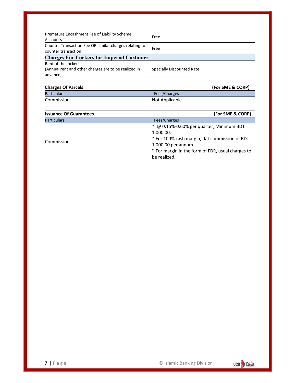| Premature Encashment Fee of Liability Scheme<br>Accounts                      | Free                      |
|-------------------------------------------------------------------------------|---------------------------|
| Counter Transaction Fee OR similar charges relating to<br>counter transaction | Free                      |
| <b>Charges For Lockers for Imperial Customer</b>                              |                           |
| Rent of the lockers                                                           |                           |
| (Annual rent and other charges are to be realized in<br>advance)              | Specially Discounted Rate |

| <b>Charges Of Parcels</b> | (For SME & CORP) |
|---------------------------|------------------|
| <b>Particulars</b>        | Fees/Charges     |
| Commission                | Not Applicable   |

| <b>Issuance Of Guarantees</b> | (For SME & CORP)                                  |
|-------------------------------|---------------------------------------------------|
| <b>Particulars</b>            | Fees/Charges                                      |
|                               | @ 0.15%-0.60% per quarter; Minimum BDT            |
| Commission                    | 1,000.00.                                         |
|                               | * For 100% cash margin, flat commission of BDT    |
|                               | $1,000.00$ per annum.                             |
|                               | * For margin in the form of FDR, usual charges to |
|                               | be realized.                                      |

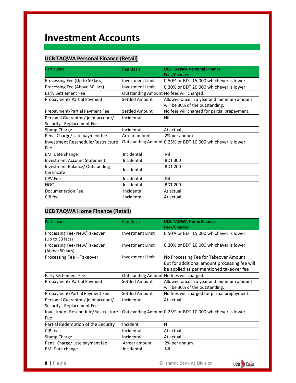## Investment Accounts

#### UCB TAQWA Personal Finance (Retail)

| <b>Particulars</b>                                               | Fee Basis                                | <b>UCB TAQWA Personal Finance</b><br>Fees/Charges                            |
|------------------------------------------------------------------|------------------------------------------|------------------------------------------------------------------------------|
| Processing Fee (Up to 50 lacs)                                   | <b>Investment Limit</b>                  | 0.50% or BDT 15,000 whichever is lower                                       |
| Processing Fee (Above 50 lacs)                                   | Investment Limit                         | 0.30% or BDT 20,000 whichever is lower                                       |
| Early Settlement Fee                                             | Outstanding Amount No fees will charged. |                                                                              |
| Prepayment/ Partial Payment                                      | Settled Amount                           | Allowed once in a year and minimum amount<br>will be 30% of the outstanding. |
| Prepayment/Partial Payment Fee                                   | Settled Amount                           | No fees will charged for partial prepayment.                                 |
| Personal Guarantor / joint account/<br>Security- Replacement Fee | Incidental                               | Nil                                                                          |
| Stamp Charge                                                     | Incidental                               | At actual                                                                    |
| Penal Charge/ Late payment fee                                   | Arrear amount                            | 2% per annum                                                                 |
| Investment Reschedule/Restructure                                |                                          | Outstanding Amount 0.25% or BDT 10,000 whichever is lower                    |
| lFee                                                             |                                          |                                                                              |
| <b>EMI Date change</b>                                           | Incidental                               | Nil                                                                          |
| Investment Account Statement                                     | Incidental                               | <b>BDT 300</b>                                                               |
| Investment Balance/ Outstanding<br>Certificate                   | Incidental                               | <b>BDT 200</b>                                                               |
| <b>CPV Fee</b>                                                   | Incidental                               | Nil                                                                          |
| <b>NOC</b>                                                       | Incidental                               | <b>BDT 200</b>                                                               |
| Documentation Fee                                                | Incidental                               | At actual                                                                    |
| CIB fee                                                          | Incidental                               | At actual                                                                    |

#### UCB TAQWA Home Finance (Retail)

| <b>Particulars</b>                                               | Fee Basis                                | <b>UCB TAQWA Home Finance</b><br>Fees/Charges                                                                                       |
|------------------------------------------------------------------|------------------------------------------|-------------------------------------------------------------------------------------------------------------------------------------|
| Processing Fee-New/Takeover<br>(Up to 50 lacs)                   | <b>Investment Limit</b>                  | 0.50% or BDT 15,000 whichever is lower                                                                                              |
| Processing Fee-New/Takeover<br>(Above 50 lacs)                   | <b>Investment Limit</b>                  | 0.30% or BDT 20,000 whichever is lower                                                                                              |
| Processing Fee - Takeover                                        | <b>Investment Limit</b>                  | No Processing Fee for Takeover Amount.<br>But for additional amount processing fee will<br>be applied as per mentioned takeover fee |
| Early Settlement Fee                                             | Outstanding Amount No fees will charged. |                                                                                                                                     |
| Prepayment/ Partial Payment                                      | Settled Amount                           | Allowed once in a year and minimum amount<br>will be 30% of the outstanding.                                                        |
| Prepayment/Partial Payment Fee                                   | Settled Amount                           | No fees will charged for partial prepayment.                                                                                        |
| Personal Guarantor / joint account/<br>Security- Replacement Fee | Incidental                               | At actual                                                                                                                           |
| Investment Reschedule/Restructure<br>Fee                         |                                          | Outstanding Amount 0.25% or BDT 10,000 whichever is lower                                                                           |
| Partial Redemption of the Security                               | Incident                                 | Nil                                                                                                                                 |
| CIB fee                                                          | Incidental                               | At actual                                                                                                                           |
| Stamp Charge                                                     | Incidental                               | At actual                                                                                                                           |
| Penal Charge/ Late payment fee                                   | Arrear amount                            | 2% per annum                                                                                                                        |
| <b>EMI Date change</b>                                           | Incidental                               | Nil                                                                                                                                 |

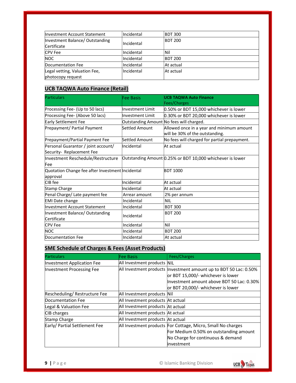| Investment Account Statement                       | Incidental | <b>BDT 300</b> |  |
|----------------------------------------------------|------------|----------------|--|
| Investment Balance/ Outstanding<br>Certificate     | Incidental | <b>BDT 200</b> |  |
| <b>CPV Fee</b>                                     | Incidental | Nil            |  |
| <b>NOC</b>                                         | Incidental | <b>BDT 200</b> |  |
| Documentation Fee                                  | Incidental | At actual      |  |
| Legal vetting, Valuation Fee,<br>photocopy request | Incidental | At actual      |  |

#### UCB TAQWA Auto Finance (Retail)

| <b>Particulars</b>                               | Fee Basis                                | <b>UCB TAQWA Auto Finance</b>                             |
|--------------------------------------------------|------------------------------------------|-----------------------------------------------------------|
|                                                  |                                          | Fees/Charges                                              |
| Processing Fee- (Up to 50 lacs)                  | Investment Limit                         | 0.50% or BDT 15,000 whichever is lower                    |
| Processing Fee- (Above 50 lacs)                  | Investment Limit                         | 0.30% or BDT 20,000 whichever is lower                    |
| <b>Early Settlement Fee</b>                      | Outstanding Amount No fees will charged. |                                                           |
| Prepayment/ Partial Payment                      | Settled Amount                           | Allowed once in a year and minimum amount                 |
|                                                  |                                          | will be 30% of the outstanding.                           |
| Prepayment/Partial Payment Fee                   | Settled Amount                           | No fees will charged for partial prepayment.              |
| Personal Guarantor / joint account/              | Incidental                               | At actual                                                 |
| Security- Replacement Fee                        |                                          |                                                           |
| Investment Reschedule/Restructure                |                                          | Outstanding Amount 0.25% or BDT 10,000 whichever is lower |
| <b>Fee</b>                                       |                                          |                                                           |
| Quotation Change fee after Investment Incidental |                                          | <b>BDT 1000</b>                                           |
| approval                                         |                                          |                                                           |
| CIB fee                                          | Incidental                               | At actual                                                 |
| <b>Stamp Charge</b>                              | Incidental                               | At actual                                                 |
| Penal Charge/ Late payment fee                   | Arrear amount                            | 2% per annum                                              |
| <b>EMI Date change</b>                           | Incidental                               | <b>NIL</b>                                                |
| Investment Account Statement                     | Incidental                               | <b>BDT 300</b>                                            |
| Investment Balance/ Outstanding                  | Incidental                               | <b>BDT 200</b>                                            |
| Certificate                                      |                                          |                                                           |
| <b>CPV Fee</b>                                   | Incidental                               | Nil                                                       |
| <b>NOC</b>                                       | Incidental                               | <b>BDT 200</b>                                            |
| Documentation Fee                                | Incidental                               | At actual                                                 |

#### SME Schedule of Charges & Fees (Asset Products)

| <b>Particulars</b>                | Fee Basis                         | Fees/Charges                                                        |
|-----------------------------------|-----------------------------------|---------------------------------------------------------------------|
| <b>Investment Application Fee</b> | All Investment products NIL       |                                                                     |
| <b>Investment Processing Fee</b>  |                                   | All Investment products   Investment amount up to BDT 50 Lac: 0.50% |
|                                   |                                   | or BDT 15,000/- whichever is lower                                  |
|                                   |                                   | Investment amount above BDT 50 Lac: 0.30%                           |
|                                   |                                   | or BDT 20,000/- whichever is lower                                  |
| Rescheduling/Restructure Fee      | All Investment products Nil       |                                                                     |
| Documentation Fee                 | All Investment products At actual |                                                                     |
| Legal & Valuation Fee             | All Investment products At actual |                                                                     |
| CIB charges                       | All Investment products At actual |                                                                     |
| Stamp Charge                      | All Investment products At actual |                                                                     |
| Early/ Partial Settlement Fee     |                                   | All Investment products For Cottage, Micro, Small No charges        |
|                                   |                                   | For Medium 0.50% on outstanding amount                              |
|                                   |                                   | No Charge for continuous & demand                                   |
|                                   |                                   | linvestment                                                         |

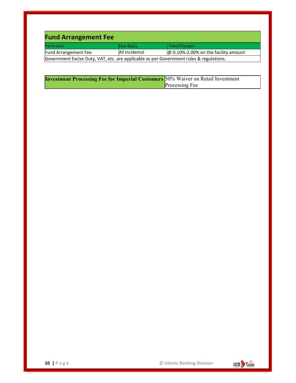| <b>Fund Arrangement Fee</b>                                                             |                |                                             |
|-----------------------------------------------------------------------------------------|----------------|---------------------------------------------|
| <b>Particulars</b>                                                                      | Fee Basis      | Fees/Charges                                |
| Fund Arrangement Fee                                                                    | All Incidental | $\omega$ 0.10%-2.00% on the facility amount |
| Government Excise Duty, VAT, etc. are applicable as per Government rules & regulations. |                |                                             |

| <b>Investment Processing Fee for Imperial Customers</b> 50% Waiver on Retail Investment |                       |
|-----------------------------------------------------------------------------------------|-----------------------|
|                                                                                         | <b>Processing Fee</b> |

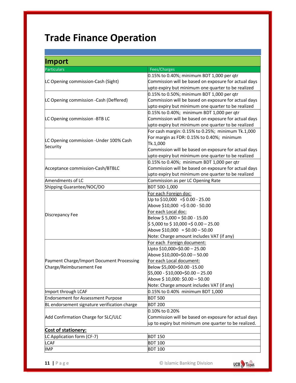# Trade Finance Operation

| <b>Import</b>                                |                                                      |
|----------------------------------------------|------------------------------------------------------|
| <b>Particulars</b>                           | Fees/Charges                                         |
|                                              | 0.15% to 0.40%; minimum BDT 1,000 per qtr            |
| LC Opening commission-Cash (Sight)           | Commission will be based on exposure for actual days |
|                                              | upto expiry but minimum one quarter to be realized   |
|                                              | 0.15% to 0.50%; minimum BDT 1,000 per qtr            |
| LC Opening commission -Cash (Deffered)       | Commission will be based on exposure for actual days |
|                                              | upto expiry but minimum one quarter to be realized   |
|                                              | 0.15% to 0.40%; minimum BDT 1,000 per qtr            |
| LC Opening commission -BTB LC                | Commission will be based on exposure for actual days |
|                                              | upto expiry but minimum one quarter to be realized   |
|                                              | For cash margin: 0.15% to 0.25%; minimum Tk.1,000    |
| LC Opening commission - Under 100% Cash      | For margin as FDR: 0.15% to 0.40%; minimum           |
| Security                                     | Tk.1,000                                             |
|                                              | Commission will be based on exposure for actual days |
|                                              | upto expiry but minimum one quarter to be realized   |
|                                              | 0.15% to 0.40%; minimum BDT 1,000 per qtr            |
| Acceptance commission-Cash/BTBLC             | Commission will be based on exposure for actual days |
|                                              | upto expiry but minimum one quarter to be realized   |
| Amendments of LC                             | Commission as per LC Opening Rate                    |
| Shipping Guarantee/NOC/DO                    | BDT 500-1,000                                        |
|                                              | For each Foreign doc:                                |
|                                              | Up to $$10,000 = $0.00 - 25.00$                      |
|                                              | Above \$10,000 = \$0.00 - 50.00                      |
| Discrepancy Fee                              | For each Local doc:                                  |
|                                              | Below $$5,000 = $0.00 - 15.00$                       |
|                                              | $\frac{1}{2}$ 5,000 to \$ 10,000 =\$ 0.00 – 25.00    |
|                                              | Above $$10,000 = $0.00 - 50.00$                      |
|                                              | Note: Charge amount includes VAT (if any)            |
|                                              | For each Foreign document:                           |
|                                              | Upto \$10,000=\$0.00 - 25.00                         |
|                                              | Above \$10,000=\$0.00 - 50.00                        |
| Payment Charge/Import Document Processing    | For each Local document:                             |
| Charge/Reimbursement Fee                     | Below \$5,000=\$0.00 -15.00                          |
|                                              | \$5,000 - \$10,000=\$0.00 - 25.00                    |
|                                              | Above \$10,000: \$0.00 - 50.00                       |
|                                              | Note: Charge amount includes VAT (if any)            |
| Import through LCAF                          | 0.15% to 0.40% minimum BDT 1,000                     |
| <b>Endorsement for Assessment Purpose</b>    | <b>BDT 500</b>                                       |
| BL endorsement signature verification charge | <b>BDT 200</b>                                       |
| Add Confirmation Charge for SLC/ULC          | 0.10% to 0.20%                                       |
|                                              | Commission will be based on exposure for actual days |
|                                              | up to expiry but minimum one quarter to be realized. |
| <b>Cost of stationery:</b>                   |                                                      |
| LC Application form (CF-7)                   | <b>BDT 150</b>                                       |
| <b>LCAF</b>                                  | <b>BDT 100</b>                                       |
| <b>IMP</b>                                   | <b>BDT 100</b>                                       |

11 | P a g e © Islamic Banking Division

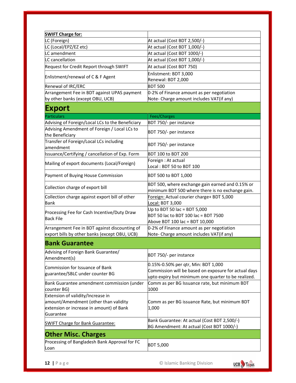| <b>SWIFT Charge for:</b>                                                                       |                                                                                                      |
|------------------------------------------------------------------------------------------------|------------------------------------------------------------------------------------------------------|
| LC (Foreign)                                                                                   | At actual (Cost BDT 2,500/-)                                                                         |
| LC (Local/EPZ/EZ etc)                                                                          | At actual (Cost BDT 1,000/-)                                                                         |
| LC amendment                                                                                   | At actual (Cost BDT 1000/-)                                                                          |
| LC cancellation                                                                                | At actual (Cost BDT 1,000/-)                                                                         |
| Request for Credit Report through SWIFT                                                        | At actual (Cost BDT 750)                                                                             |
|                                                                                                | Enlistment: BDT 3,000                                                                                |
| Enlistment/renewal of C & F Agent                                                              | Renewal: BDT 2,000                                                                                   |
| Renewal of IRC/ERC                                                                             | <b>BDT 500</b>                                                                                       |
| Arrangement Fee in BDT against UPAS payment                                                    | 0-2% of Finance amount as per negotiation                                                            |
| by other banks (except OBU, UCB)                                                               | Note- Charge amount includes VAT(if any)                                                             |
| <b>Export</b>                                                                                  |                                                                                                      |
| <b>Particulars</b>                                                                             | Fees/Charges                                                                                         |
| Advising of Foreign/Local LCs to the Beneficiary                                               | BDT 750/- per instance                                                                               |
| Advising Amendment of Foreign / Local LCs to<br>the Beneficiary                                | BDT 750/- per instance                                                                               |
| Transfer of Foreign/Local LCs including<br>amendment                                           | BDT 750/- per instance                                                                               |
| Issuance/Certifying / cancellation of Exp. Form                                                | BDT 100 to BDT 200                                                                                   |
|                                                                                                | Foreign: At actual                                                                                   |
| Mailing of export documents (Local/Foreign)                                                    | Local: BDT 50 to BDT 100                                                                             |
| Payment of Buying House Commission                                                             | BDT 500 to BDT 1,000                                                                                 |
| Collection charge of export bill                                                               | BDT 500, where exchange gain earned and 0.15% or<br>minimum BDT 500 where there is no exchange gain. |
| Collection charge against export bill of other<br>Bank                                         | Foreign: Actual courier charge+ BDT 5,000<br>Local: BDT 3,000                                        |
|                                                                                                | Up to BDT 50 lac = BDT 5,000                                                                         |
| Processing Fee for Cash Incentive/Duty Draw<br><b>Back File</b>                                | BDT 50 lac to BDT 100 lac = BDT 7500                                                                 |
|                                                                                                | Above BDT 100 lac = BDT 10,000                                                                       |
| Arrangement Fee in BDT against discounting of<br>export bills by other banks (except OBU, UCB) | 0-2% of Finance amount as per negotiation<br>Note- Charge amount includes VAT(if any)                |
| <b>Bank Guarantee</b>                                                                          |                                                                                                      |
|                                                                                                |                                                                                                      |
| Advising of Foreign Bank Guarantee/<br>Amendment(s)                                            | BDT 750/- per instance                                                                               |
| <b>Commission for Issuance of Bank</b>                                                         | 0.15%-0.50% per qtr, Min: BDT 1,000                                                                  |
| guarantee/SBLC under counter BG                                                                | Commission will be based on exposure for actual days                                                 |
|                                                                                                | upto expiry but minimum one quarter to be realized.                                                  |
| Bank Guarantee amendment commission (under<br>counter BG)                                      | Comm as per BG Issuance rate, but minimum BDT<br>1000                                                |
| Extension of validity/Increase in                                                              |                                                                                                      |
| amount/Amendment (other than validity                                                          | Comm as per BG issuance Rate, but minimum BDT                                                        |
| extension or increase in amount) of Bank<br>Guarantee                                          | 1,000                                                                                                |
|                                                                                                | Bank Guarantee: At actual (Cost BDT 2,500/-)                                                         |
| <b>SWIFT Charge for Bank Guarantee:</b>                                                        | BG Amendment: At actual (Cost BDT 1000/-)                                                            |
| <b>Other Misc. Charges</b>                                                                     |                                                                                                      |
| Processing of Bangladesh Bank Approval for FC                                                  |                                                                                                      |
| Loan                                                                                           | <b>BDT 5,000</b>                                                                                     |